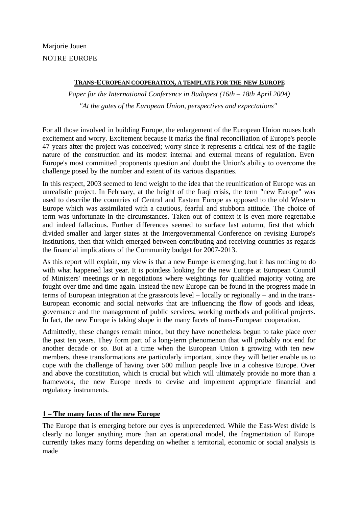Marjorie Jouen NOTRE EUROPE

# **TRANS-EUROPEAN COOPERATION, A TEMPLATE FOR THE NEW EUROPE**

*Paper for the International Conference in Budapest (16th – 18th April 2004) "At the gates of the European Union, perspectives and expectations"*

For all those involved in building Europe, the enlargement of the European Union rouses both excitement and worry. Excitement because it marks the final reconciliation of Europe's people 47 years after the project was conceived; worry since it represents a critical test of the fragile nature of the construction and its modest internal and external means of regulation. Even Europe's most committed proponents question and doubt the Union's ability to overcome the challenge posed by the number and extent of its various disparities.

In this respect, 2003 seemed to lend weight to the idea that the reunification of Europe was an unrealistic project. In February, at the height of the Iraqi crisis, the term "new Europe" was used to describe the countries of Central and Eastern Europe as opposed to the old Western Europe which was assimilated with a cautious, fearful and stubborn attitude. The choice of term was unfortunate in the circumstances. Taken out of context it is even more regrettable and indeed fallacious. Further differences seemed to surface last autumn, first that which divided smaller and larger states at the Intergovernmental Conference on revising Europe's institutions, then that which emerged between contributing and receiving countries as regards the financial implications of the Community budget for 2007-2013.

As this report will explain, my view is that a new Europe *is* emerging, but it has nothing to do with what happened last year. It is pointless looking for the new Europe at European Council of Ministers' meetings or in negotiations where weightings for qualified majority voting are fought over time and time again. Instead the new Europe can be found in the progress made in terms of European integration at the grassroots level – locally or regionally – and in the trans-European economic and social networks that are influencing the flow of goods and ideas, governance and the management of public services, working methods and political projects. In fact, the new Europe is taking shape in the many facets of trans-European cooperation.

Admittedly, these changes remain minor, but they have nonetheless begun to take place over the past ten years. They form part of a long-term phenomenon that will probably not end for another decade or so. But at a time when the European Union is growing with ten new members, these transformations are particularly important, since they will better enable us to cope with the challenge of having over 500 million people live in a cohesive Europe. Over and above the constitution, which is crucial but which will ultimately provide no more than a framework, the new Europe needs to devise and implement appropriate financial and regulatory instruments.

# **1 – The many faces of the new Europe**

The Europe that is emerging before our eyes is unprecedented. While the East-West divide is clearly no longer anything more than an operational model, the fragmentation of Europe currently takes many forms depending on whether a territorial, economic or social analysis is made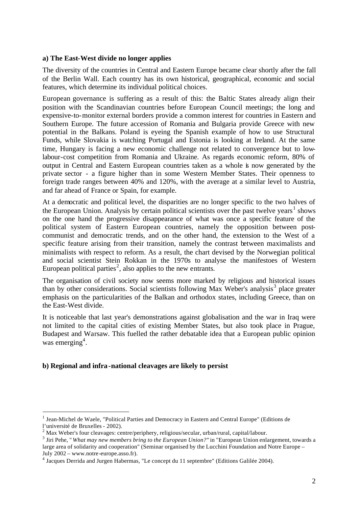#### **a) The East-West divide no longer applies**

The diversity of the countries in Central and Eastern Europe became clear shortly after the fall of the Berlin Wall. Each country has its own historical, geographical, economic and social features, which determine its individual political choices.

European governance is suffering as a result of this: the Baltic States already align their position with the Scandinavian countries before European Council meetings; the long and expensive-to-monitor external borders provide a common interest for countries in Eastern and Southern Europe. The future accession of Romania and Bulgaria provide Greece with new potential in the Balkans. Poland is eyeing the Spanish example of how to use Structural Funds, while Slovakia is watching Portugal and Estonia is looking at Ireland. At the same time, Hungary is facing a new economic challenge not related to convergence but to lowlabour-cost competition from Romania and Ukraine. As regards economic reform, 80% of output in Central and Eastern European countries taken as a whole is now generated by the private sector - a figure higher than in some Western Member States. Their openness to foreign trade ranges between 40% and 120%, with the average at a similar level to Austria, and far ahead of France or Spain, for example.

At a democratic and political level, the disparities are no longer specific to the two halves of the European Union. Analysis by certain political scientists over the past twelve years<sup>1</sup> shows on the one hand the progressive disappearance of what was once a specific feature of the political system of Eastern European countries, namely the opposition between postcommunist and democratic trends, and on the other hand, the extension to the West of a specific feature arising from their transition, namely the contrast between maximalists and minimalists with respect to reform. As a result, the chart devised by the Norwegian political and social scientist Stein Rokkan in the 1970s to analyse the manifestoes of Western European political parties<sup>2</sup>, also applies to the new entrants.

The organisation of civil society now seems more marked by religious and historical issues than by other considerations. Social scientists following Max Weber's analysis<sup>3</sup> place greater emphasis on the particularities of the Balkan and orthodox states, including Greece, than on the East-West divide.

It is noticeable that last year's demonstrations against globalisation and the war in Iraq were not limited to the capital cities of existing Member States, but also took place in Prague, Budapest and Warsaw. This fuelled the rather debatable idea that a European public opinion was emerging<sup>4</sup>.

### **b) Regional and infra-national cleavages are likely to persist**

<sup>&</sup>lt;sup>1</sup> Jean-Michel de Waele, "Political Parties and Democracy in Eastern and Central Europe" (Editions de l'université de Bruxelles - 2002).

 $2$  Max Weber's four cleavages: centre/periphery, religious/secular, urban/rural, capital/labour.

<sup>&</sup>lt;sup>3</sup> Jiri Pehe, " *What may new members bring to the European Union?"* in "European Union enlargement, towards a large area of solidarity and cooperation" (Seminar organised by the Lucchini Foundation and Notre Europe – July 2002 – www.notre-europe.asso.fr).

<sup>&</sup>lt;sup>4</sup> Jacques Derrida and Jurgen Habermas, "Le concept du 11 septembre" (Editions Galilée 2004).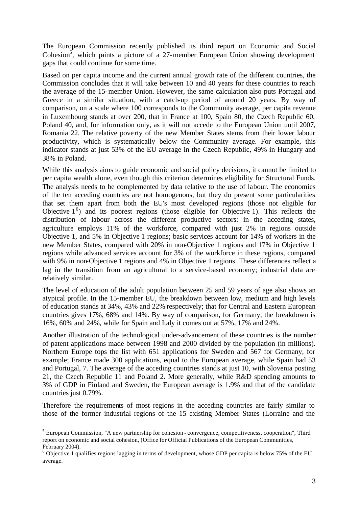The European Commission recently published its third report on Economic and Social Cohesion<sup>5</sup>, which paints a picture of a 27-member European Union showing development gaps that could continue for some time.

Based on per capita income and the current annual growth rate of the different countries, the Commission concludes that it will take between 10 and 40 years for these countries to reach the average of the 15-member Union. However, the same calculation also puts Portugal and Greece in a similar situation, with a catch-up period of around 20 years. By way of comparison, on a scale where 100 corresponds to the Community average, per capita revenue in Luxembourg stands at over 200, that in France at 100, Spain 80, the Czech Republic 60, Poland 40, and, for information only, as it will not accede to the European Union until 2007, Romania 22. The relative pove rty of the new Member States stems from their lower labour productivity, which is systematically below the Community average. For example, this indicator stands at just 53% of the EU average in the Czech Republic, 49% in Hungary and 38% in Poland.

While this analysis aims to guide economic and social policy decisions, it cannot be limited to per capita wealth alone, even though this criterion determines eligibility for Structural Funds. The analysis needs to be complemented by data relative to the use of labour. The economies of the ten acceding countries are not homogenous, but they do present some particularities that set them apart from both the EU's most developed regions (those not eligible for Objective  $1^6$ ) and its poorest regions (those eligible for Objective 1). This reflects the distribution of labour across the different productive sectors: in the acceding states, agriculture employs 11% of the workforce, compared with just 2% in regions outside Objective 1, and 5% in Objective 1 regions; basic services account for 14% of workers in the new Member States, compared with 20% in non-Objective 1 regions and 17% in Objective 1 regions while advanced services account for 3% of the workforce in these regions, compared with 9% in non-Objective 1 regions and 4% in Objective 1 regions. These differences reflect a lag in the transition from an agricultural to a service-based economy; industrial data are relatively similar.

The level of education of the adult population between 25 and 59 years of age also shows an atypical profile. In the 15-member EU, the breakdown between low, medium and high levels of education stands at 34%, 43% and 22% respectively; that for Central and Eastern European countries gives 17%, 68% and 14%. By way of comparison, for Germany, the breakdown is 16%, 60% and 24%, while for Spain and Italy it comes out at 57%, 17% and 24%.

Another illustration of the technological under-advancement of these countries is the number of patent applications made between 1998 and 2000 divided by the population (in millions). Northern Europe tops the list with 651 applications for Sweden and 567 for Germany, for example; France made 300 applications, equal to the European average, while Spain had 53 and Portugal, 7. The average of the acceding countries stands at just 10, with Slovenia posting 21, the Czech Republic 11 and Poland 2. More generally, while R&D spending amounts to 3% of GDP in Finland and Sweden, the European average is 1.9% and that of the candidate countries just 0.79%.

Therefore the requirements of most regions in the acceding countries are fairly similar to those of the former industrial regions of the 15 existing Member States (Lorraine and the

 $<sup>5</sup>$  European Commission, "A new partnership for cohesion - convergence, competitiveness, cooperation", Third</sup> report on economic and social cohesion, (Office for Official Publications of the European Communities, February 2004).

<sup>&</sup>lt;sup>6</sup> Objective 1 qualifies regions lagging in terms of development, whose GDP per capita is below 75% of the EU average.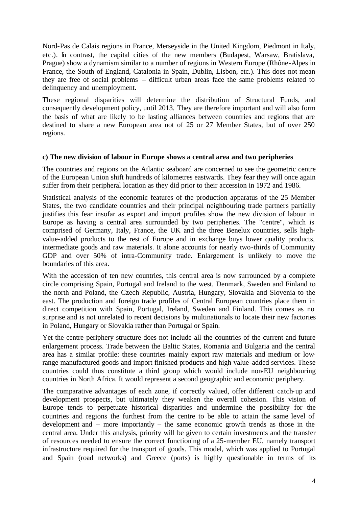Nord-Pas de Calais regions in France, Merseyside in the United Kingdom, Piedmont in Italy, etc.). In contrast, the capital cities of the new members (Budapest, Warsaw, Bratislava, Prague) show a dynamism similar to a number of regions in Western Europe (Rhône-Alpes in France, the South of England, Catalonia in Spain, Dublin, Lisbon, etc.). This does not mean they are free of social problems – difficult urban areas face the same problems related to delinquency and unemployment.

These regional disparities will determine the distribution of Structural Funds, and consequently development policy, until 2013. They are therefore important and will also form the basis of what are likely to be lasting alliances between countries and regions that are destined to share a new European area not of 25 or 27 Member States, but of over 250 regions.

#### **c) The new division of labour in Europe shows a central area and two peripheries**

The countries and regions on the Atlantic seaboard are concerned to see the geometric centre of the European Union shift hundreds of kilometres eastwards. They fear they will once again suffer from their peripheral location as they did prior to their accession in 1972 and 1986.

Statistical analysis of the economic features of the production apparatus of the 25 Member States, the two candidate countries and their principal neighbouring trade partners partially justifies this fear insofar as export and import profiles show the new division of labour in Europe as having a central area surrounded by two peripheries. The "centre", which is comprised of Germany, Italy, France, the UK and the three Benelux countries, sells highvalue-added products to the rest of Europe and in exchange buys lower quality products, intermediate goods and raw materials. It alone accounts for nearly two-thirds of Community GDP and over 50% of intra-Community trade. Enlargement is unlikely to move the boundaries of this area.

With the accession of ten new countries, this central area is now surrounded by a complete circle comprising Spain, Portugal and Ireland to the west, Denmark, Sweden and Finland to the north and Poland, the Czech Republic, Austria, Hungary, Slovakia and Slovenia to the east. The production and foreign trade profiles of Central European countries place them in direct competition with Spain, Portugal, Ireland, Sweden and Finland. This comes as no surprise and is not unrelated to recent decisions by multinationals to locate their new factories in Poland, Hungary or Slovakia rather than Portugal or Spain.

Yet the centre-periphery structure does not include all the countries of the current and future enlargement process. Trade between the Baltic States, Romania and Bulgaria and the central area has a similar profile: these countries mainly export raw materials and medium or lowrange manufactured goods and import finished products and high value-added services. These countries could thus constitute a third group which would include non-EU neighbouring countries in North Africa. It would represent a second geographic and economic periphery.

The comparative advantages of each zone, if correctly valued, offer different catch-up and development prospects, but ultimately they weaken the overall cohesion. This vision of Europe tends to perpetuate historical disparities and undermine the possibility for the countries and regions the furthest from the centre to be able to attain the same level of development and – more importantly – the same economic growth trends as those in the central area. Under this analysis, priority will be given to certain investments and the transfer of resources needed to ensure the correct functioning of a 25-member EU, namely transport infrastructure required for the transport of goods. This model, which was applied to Portugal and Spain (road networks) and Greece (ports) is highly questionable in terms of its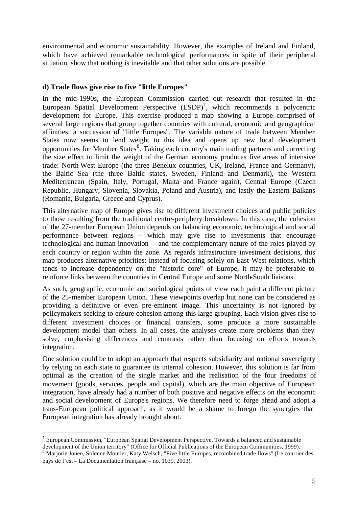environmental and economic sustainability. However, the examples of Ireland and Finland, which have achieved remarkable technological performances in spite of their peripheral situation, show that nothing is inevitable and that other solutions are possible.

### **d) Trade flows give rise to five "little Europes"**

In the mid-1990s, the European Commission carried out research that resulted in the European Spatial Development Perspective  $(ESDP)^7$ , which recommends a polycentric development for Europe. This exercise produced a map showing a Europe comprised of several large regions that group together countries with cultural, economic and geographical affinities: a succession of "little Europes". The variable nature of trade between Member States now seems to lend weight to this idea and opens up new local development opportunities for Member States<sup>8</sup>. Taking each country's main trading partners and correcting the size effect to limit the weight of the German economy produces five areas of intensive trade: North-West Europe (the three Benelux countries, UK, Ireland, France and Germany), the Baltic Sea (the three Baltic states, Sweden, Finland and Denmark), the Western Mediterranean (Spain, Italy, Portugal, Malta and France again), Central Europe (Czech Republic, Hungary, Slovenia, Slovakia, Poland and Austria), and lastly the Eastern Balkans (Romania, Bulgaria, Greece and Cyprus).

This alternative map of Europe gives rise to different investment choices and public policies to those resulting from the traditional centre-periphery breakdown. In this case, the cohesion of the 27-member European Union depends on balancing economic, technological and social performance between regions – which may give rise to investments that encourage technological and human innovation – and the complementary nature of the roles played by each country or region within the zone. As regards infrastructure investment decisions, this map produces alternative priorities: instead of focusing solely on East-West relations, which tends to increase dependency on the "historic core" of Europe, it may be preferable to reinforce links between the countries in Central Europe and some North-South liaisons.

As such, geographic, economic and sociological points of view each paint a different picture of the 25-member European Union. These viewpoints overlap but none can be considered as providing a definitive or even pre-eminent image. This uncertainty is not ignored by policymakers seeking to ensure cohesion among this large grouping. Each vision gives rise to different investment choices or financial transfers, some produce a more sustainable development model than others. In all cases, the analyses create more problems than they solve, emphasising differences and contrasts rather than focusing on efforts towards integration.

One solution could be to adopt an approach that respects subsidiarity and national sovereignty by relying on each state to guarantee its internal cohesion. However, this solution is far from optimal as the creation of the single market and the realisation of the four freedoms of movement (goods, services, people and capital), which are the main objective of European integration, have already had a number of both positive and negative effects on the economic and social development of Europe's regions. We therefore need to forge ahead and adopt a trans-European political approach, as it would be a shame to forego the synergies that European integration has already brought about.

 $<sup>7</sup>$  European Commission, "European Spatial Development Perspective. Towards a balanced and sustainable</sup> development of the Union territory" (Office for Official Publications of the European Communities, 1999).

<sup>&</sup>lt;sup>8</sup> Marjorie Jouen, Solenne Moutier, Katy Welsch, "Five little Europes, recombined trade flows" (Le courrier des pays de l'est – La Documentation française – no. 1039, 2003).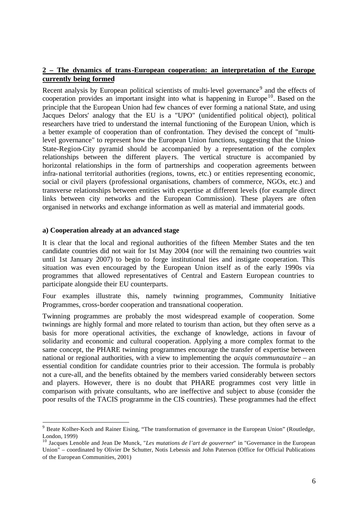# **2 – The dynamics of trans-European cooperation: an interpretation of the Europe currently being formed**

Recent analysis by European political scientists of multi-level governance<sup>9</sup> and the effects of cooperation provides an important insight into what is happening in Europe<sup>10</sup>. Based on the principle that the European Union had few chances of ever forming a national State, and using Jacques Delors' analogy that the EU is a "UPO" (unidentified political object), political researchers have tried to understand the internal functioning of the European Union, which is a better example of cooperation than of confrontation. They devised the concept of "multilevel governance" to represent how the European Union functions, suggesting that the Union-State-Region-City pyramid should be accompanied by a representation of the complex relationships between the different players. The vertical structure is accompanied by horizontal relationships in the form of partnerships and cooperation agreements between infra-national territorial authorities (regions, towns, etc.) or entities representing economic, social or civil players (professional organisations, chambers of commerce, NGOs, etc.) and transverse relationships between entities with expertise at different levels (for example direct links between city networks and the European Commission). These players are often organised in networks and exchange information as well as material and immaterial goods.

#### **a) Cooperation already at an advanced stage**

l

It is clear that the local and regional authorities of the fifteen Member States and the ten candidate countries did not wait for 1st May 2004 (nor will the remaining two countries wait until 1st January 2007) to begin to forge institutional ties and instigate cooperation. This situation was even encouraged by the European Union itself as of the early 1990s via programmes that allowed representatives of Central and Eastern European countries to participate alongside their EU counterparts.

Four examples illustrate this, namely twinning programmes, Community Initiative Programmes, cross-border cooperation and transnational cooperation.

Twinning programmes are probably the most widespread example of cooperation. Some twinnings are highly formal and more related to tourism than action, but they often serve as a basis for more operational activities, the exchange of knowledge, actions in favour of solidarity and economic and cultural cooperation. Applying a more complex format to the same concept, the PHARE twinning programmes encourage the transfer of expertise between national or regional authorities, with a view to implementing the *acquis communautaire* – an essential condition for candidate countries prior to their accession. The formula is probably not a cure-all, and the benefits obtained by the members varied considerably between sectors and players. However, there is no doubt that PHARE programmes cost very little in comparison with private consultants, who are ineffective and subject to abuse (consider the poor results of the TACIS programme in the CIS countries). These programmes had the effect

<sup>&</sup>lt;sup>9</sup> Beate Kolher-Koch and Rainer Eising, "The transformation of governance in the European Union" (Routledge, London, 1999)

<sup>10</sup> Jacques Lenoble and Jean De Munck, "*Les mutations de l'art de gouverner*" in "Governance in the European Union" – coordinated by Olivier De Schutter, Notis Lebessis and John Paterson (Office for Official Publications of the European Communities, 2001)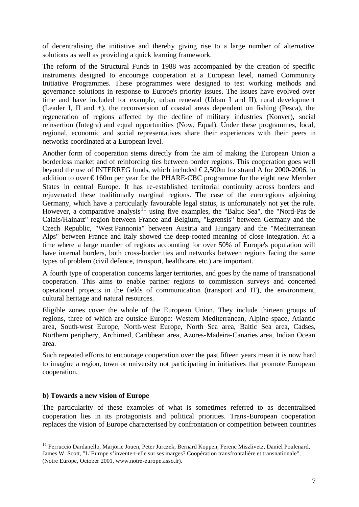of decentralising the initiative and thereby giving rise to a large number of alternative solutions as well as providing a quick learning framework.

The reform of the Structural Funds in 1988 was accompanied by the creation of specific instruments designed to encourage cooperation at a European level, named Community Initiative Programmes. These programmes were designed to test working methods and governance solutions in response to Europe's priority issues. The issues have evolved over time and have included for example, urban renewal (Urban I and II), rural development (Leader I, II and +), the reconversion of coastal areas dependent on fishing (Pesca), the regeneration of regions affected by the decline of military industries (Konver), social reinsertion (Integra) and equal opportunities (Now, Equal). Under these programmes, local, regional, economic and social representatives share their experiences with their peers in networks coordinated at a European level.

Another form of cooperation stems directly from the aim of making the European Union a borderless market and of reinforcing ties between border regions. This cooperation goes well beyond the use of INTERREG funds, which included  $\epsilon$ 2,500m for strand A for 2000-2006, in addition to over  $\epsilon$ 160m per year for the PHARE-CBC programme for the eight new Member States in central Europe. It has re-established territorial continuity across borders and rejuvenated these traditionally marginal regions. The case of the euroregions adjoining Germany, which have a particularly favourable legal status, is unfortunately not yet the rule. However, a comparative analysis<sup>11</sup> using five examples, the "Baltic Sea", the "Nord-Pas de Calais/Hainaut" region between France and Belgium, "Egrensis" between Germany and the Czech Republic, "West Pannonia" between Austria and Hungary and the "Mediterranean Alps" between France and Italy showed the deep-rooted meaning of close integration. At a time where a large number of regions accounting for over 50% of Europe's population will have internal borders, both cross-border ties and networks between regions facing the same types of problem (civil defence, transport, healthcare, etc.) are important.

A fourth type of cooperation concerns larger territories, and goes by the name of transnational cooperation. This aims to enable partner regions to commission surveys and concerted operational projects in the fields of communication (transport and IT), the environment, cultural heritage and natural resources.

Eligible zones cover the whole of the European Union. They include thirteen groups of regions, three of which are outside Europe: Western Mediterranean, Alpine space, Atlantic area, South-west Europe, North-west Europe, North Sea area, Baltic Sea area, Cadses, Northern periphery, Archimed, Caribbean area, Azores-Madeira-Canaries area, Indian Ocean area.

Such repeated efforts to encourage cooperation over the past fifteen years mean it is now hard to imagine a region, town or university not participating in initiatives that promote European cooperation.

### **b) Towards a new vision of Europe**

l

The particularity of these examples of what is sometimes referred to as decentralised cooperation lies in its protagonists and political priorities. Trans-European cooperation replaces the vision of Europe characterised by confrontation or competition between countries

<sup>&</sup>lt;sup>11</sup> Ferruccio Dardanello, Marjorie Jouen, Peter Jurczek, Bernard Koppen, Ferenc Miszlivetz, Daniel Poulenard, James W. Scott, "L'Europe s'invente-t-elle sur ses marges? Coopération transfrontalière et transnationale", (Notre Europe, October 2001, www.notre-europe.asso.fr).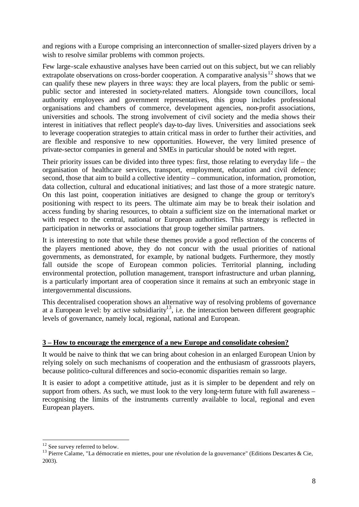and regions with a Europe comprising an interconnection of smaller-sized players driven by a wish to resolve similar problems with common projects.

Few large-scale exhaustive analyses have been carried out on this subject, but we can reliably extrapolate observations on cross-border cooperation. A comparative analysis<sup>12</sup> shows that we can qualify these new players in three ways: they are local players, from the public or semipublic sector and interested in society-related matters. Alongside town councillors, local authority employees and government representatives, this group includes professional organisations and chambers of commerce, development agencies, non-profit associations, universities and schools. The strong involvement of civil society and the media shows their interest in initiatives that reflect people's day-to-day lives. Universities and associations seek to leverage cooperation strategies to attain critical mass in order to further their activities, and are flexible and responsive to new opportunities. However, the very limited presence of private-sector companies in general and SMEs in particular should be noted with regret.

Their priority issues can be divided into three types: first, those relating to everyday life – the organisation of healthcare services, transport, employment, education and civil defence; second, those that aim to build a collective identity – communication, information, promotion, data collection, cultural and educational initiatives; and last those of a more strategic nature. On this last point, cooperation initiatives are designed to change the group or territory's positioning with respect to its peers. The ultimate aim may be to break their isolation and access funding by sharing resources, to obtain a sufficient size on the international market or with respect to the central, national or European authorities. This strategy is reflected in participation in networks or associations that group together similar partners.

It is interesting to note that while these themes provide a good reflection of the concerns of the players mentioned above, they do not concur with the usual priorities of national governments, as demonstrated, for example, by national budgets. Furthermore, they mostly fall outside the scope of European common policies. Territorial planning, including environmental protection, pollution management, transport infrastructure and urban planning, is a particularly important area of cooperation since it remains at such an embryonic stage in intergovernmental discussions.

This decentralised cooperation shows an alternative way of resolving problems of governance at a European level: by active subsidiarity<sup>13</sup>, i.e. the interaction between different geographic levels of governance, namely local, regional, national and European.

# **3 – How to encourage the emergence of a new Europe and consolidate cohesion?**

It would be naive to think that we can bring about cohesion in an enlarged European Union by relying solely on such mechanisms of cooperation and the enthusiasm of grassroots players, because politico-cultural differences and socio-economic disparities remain so large.

It is easier to adopt a competitive attitude, just as it is simpler to be dependent and rely on support from others. As such, we must look to the very long-term future with full awareness – recognising the limits of the instruments currently available to local, regional and even European players.

 $12$  See survey referred to below.

<sup>&</sup>lt;sup>13</sup> Pierre Calame, "La démocratie en miettes, pour une révolution de la gouvernance" (Editions Descartes & Cie, 2003).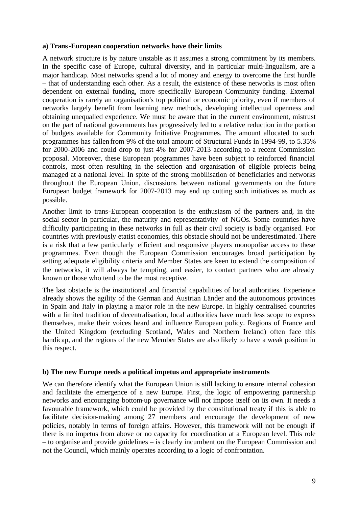#### **a) Trans-European cooperation networks have their limits**

A network structure is by nature unstable as it assumes a strong commitment by its members. In the specific case of Europe, cultural diversity, and in particular multi-lingualism, are a major handicap. Most networks spend a lot of money and energy to overcome the first hurdle – that of understanding each other. As a result, the existence of these networks is most often dependent on external funding, more specifically European Community funding. External cooperation is rarely an organisation's top political or economic priority, even if members of networks largely benefit from learning new methods, developing intellectual openness and obtaining unequalled experience. We must be aware that in the current environment, mistrust on the part of national governments has progressively led to a relative reduction in the portion of budgets available for Community Initiative Programmes. The amount allocated to such programmes has fallen from 9% of the total amount of Structural Funds in 1994-99, to 5.35% for 2000-2006 and could drop to just 4% for 2007-2013 according to a recent Commission proposal. Moreover, these European programmes have been subject to reinforced financial controls, most often resulting in the selection and organisation of eligible projects being managed at a national level. In spite of the strong mobilisation of beneficiaries and networks throughout the European Union, discussions between national governments on the future European budget framework for 2007-2013 may end up cutting such initiatives as much as possible.

Another limit to trans-European cooperation is the enthusiasm of the partners and, in the social sector in particular, the maturity and representativity of NGOs. Some countries have difficulty participating in these networks in full as their civil society is badly organised. For countries with previously etatist economies, this obstacle should not be underestimated. There is a risk that a few particularly efficient and responsive players monopolise access to these programmes. Even though the European Commission encourages broad participation by setting adequate eligibility criteria and Member States are keen to extend the composition of the networks, it will always be tempting, and easier, to contact partners who are already known or those who tend to be the most receptive.

The last obstacle is the institutional and financial capabilities of local authorities. Experience already shows the agility of the German and Austrian Länder and the autonomous provinces in Spain and Italy in playing a major role in the new Europe. In highly centralised countries with a limited tradition of decentralisation, local authorities have much less scope to express themselves, make their voices heard and influence European policy. Regions of France and the United Kingdom (excluding Scotland, Wales and Northern Ireland) often face this handicap, and the regions of the new Member States are also likely to have a weak position in this respect.

### **b) The new Europe needs a political impetus and appropriate instruments**

We can therefore identify what the European Union is still lacking to ensure internal cohesion and facilitate the emergence of a new Europe. First, the logic of empowering partnership networks and encouraging bottom-up governance will not impose itself on its own. It needs a favourable framework, which could be provided by the constitutional treaty if this is able to facilitate decision-making among 27 members and encourage the development of new policies, notably in terms of foreign affairs. However, this framework will not be enough if there is no impetus from above or no capacity for coordination at a European level. This role – to organise and provide guidelines – is clearly incumbent on the European Commission and not the Council, which mainly operates according to a logic of confrontation.